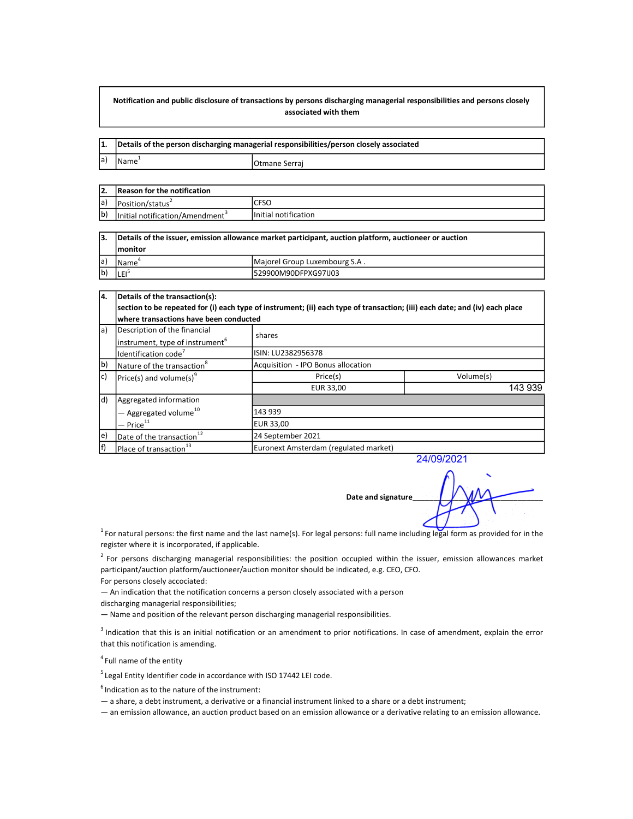## Notification and public disclosure of transactions by persons discharging managerial responsibilities and persons closely associated with them

|     | Details of the person discharging managerial responsibilities/person closely associated |                |
|-----|-----------------------------------------------------------------------------------------|----------------|
| la) | Name <sup>+</sup>                                                                       | IOtmane Serrai |

| 12.         | Reason for the notification                 |                      |  |
|-------------|---------------------------------------------|----------------------|--|
| a)          | Position/status                             | <b>CFSO</b>          |  |
| $ b\rangle$ | Initial notification/Amendment <sup>3</sup> | Initial notification |  |

| 13.         | Details of the issuer, emission allowance market participant, auction platform, auctioneer or auction |                               |  |
|-------------|-------------------------------------------------------------------------------------------------------|-------------------------------|--|
|             | <b>Imonitor</b>                                                                                       |                               |  |
| la)         | IName`                                                                                                | Majorel Group Luxembourg S.A. |  |
| $ b\rangle$ | ILEI <sup>3</sup>                                                                                     | I529900M90DFPXG97IJ03         |  |

| 14.         | Details of the transaction(s):                                                                                              |                                                            |           |  |  |  |
|-------------|-----------------------------------------------------------------------------------------------------------------------------|------------------------------------------------------------|-----------|--|--|--|
|             | section to be repeated for (i) each type of instrument; (ii) each type of transaction; (iii) each date; and (iv) each place |                                                            |           |  |  |  |
|             | where transactions have been conducted                                                                                      |                                                            |           |  |  |  |
| la)         | Description of the financial                                                                                                | shares                                                     |           |  |  |  |
|             | instrument, type of instrument <sup>6</sup>                                                                                 |                                                            |           |  |  |  |
|             | Identification code <sup>'</sup>                                                                                            | ISIN: LU2382956378                                         |           |  |  |  |
| (b          | Nature of the transaction <sup>8</sup>                                                                                      | Acquisition - IPO Bonus allocation                         |           |  |  |  |
| $ c\rangle$ | $ Price(s)$ and volume(s) <sup>9</sup>                                                                                      | Price(s)                                                   | Volume(s) |  |  |  |
|             |                                                                                                                             | EUR 33,00                                                  | 143 939   |  |  |  |
| (ld         | Aggregated information                                                                                                      |                                                            |           |  |  |  |
|             | $-$ Aggregated volume <sup>10</sup>                                                                                         | 143 939                                                    |           |  |  |  |
|             | — Price $^{\rm 11}$                                                                                                         | <b>EUR 33,00</b>                                           |           |  |  |  |
| e)          | Date of the transaction <sup>12</sup>                                                                                       | 24 September 2021<br>Euronext Amsterdam (regulated market) |           |  |  |  |
| f)          | Place of transaction <sup>13</sup>                                                                                          |                                                            |           |  |  |  |

24/09/2021

Date and signature

 $^1$  For natural persons: the first name and the last name(s). For legal persons: full name including legal form as provided for in the register where it is incorporated, if applicable.

 $2$  For persons discharging managerial responsibilities: the position occupied within the issuer, emission allowances market participant/auction platform/auctioneer/auction monitor should be indicated, e.g. CEO, CFO.

For persons closely accociated:

— An indication that the notification concerns a person closely associated with a person

discharging managerial responsibilities;

— Name and position of the relevant person discharging managerial responsibilities.

 $3$  Indication that this is an initial notification or an amendment to prior notifications. In case of amendment, explain the error that this notification is amending.

<sup>4</sup> Full name of the entity

 $5$  Legal Entity Identifier code in accordance with ISO 17442 LEI code.

 $<sup>6</sup>$  Indication as to the nature of the instrument:</sup>

— a share, a debt instrument, a derivative or a financial instrument linked to a share or a debt instrument;

— an emission allowance, an auction product based on an emission allowance or a derivative relating to an emission allowance.